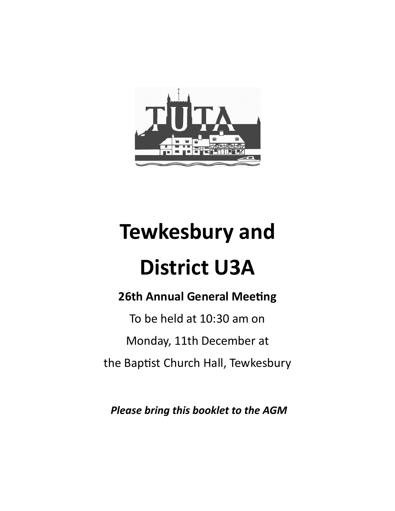

# **Tewkesbury and**

# **District U3A**

## **26th Annual General Meeting**

To be held at 10:30 am on Monday, 11th December at the Baptist Church Hall, Tewkesbury

*Please bring this booklet to the AGM*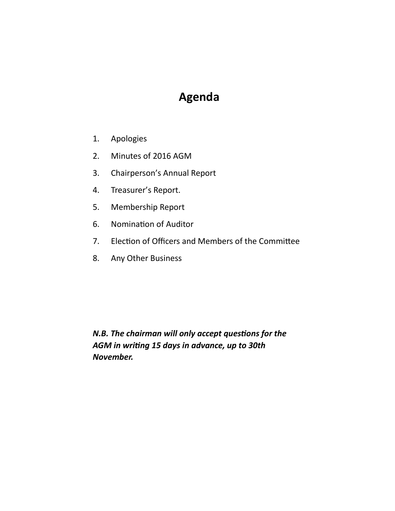## **Agenda**

- 1. Apologies
- 2. Minutes of 2016 AGM
- 3. Chairperson's Annual Report
- 4. Treasurer's Report.
- 5. Membership Report
- 6. Nomination of Auditor
- 7. Election of Officers and Members of the Committee
- 8. Any Other Business

*N.B.* The chairman will only accept questions for the *AGM in wring 15 days in advance, up to 30th November.*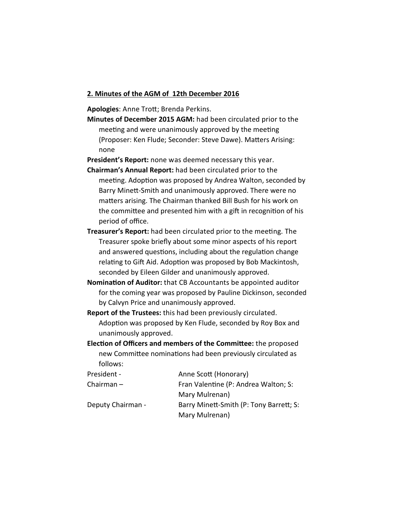#### **2. Minutes of the AGM of 12th December 2016**

Apologies: Anne Trott; Brenda Perkins.

**Minutes of December 2015 AGM:** had been circulated prior to the meeting and were unanimously approved by the meeting (Proposer: Ken Flude; Seconder: Steve Dawe). Matters Arising: none

**President's Report:** none was deemed necessary this year.

- **Chairman's Annual Report:** had been circulated prior to the meeting. Adoption was proposed by Andrea Walton, seconded by Barry Minett-Smith and unanimously approved. There were no matters arising. The Chairman thanked Bill Bush for his work on the committee and presented him with a gift in recognition of his period of office.
- **Treasurer's Report:** had been circulated prior to the meeting. The Treasurer spoke briefly about some minor aspects of his report and answered questions, including about the regulation change relating to Gift Aid. Adoption was proposed by Bob Mackintosh, seconded by Eileen Gilder and unanimously approved.
- **Nomination of Auditor:** that CB Accountants be appointed auditor for the coming year was proposed by Pauline Dickinson, seconded by Calvyn Price and unanimously approved.
- **Report of the Trustees:** this had been previously circulated. Adoption was proposed by Ken Flude, seconded by Roy Box and unanimously approved.
- **Election of Officers and members of the Committee:** the proposed new Committee nominations had been previously circulated as follows:

| President -       | Anne Scott (Honorary)                   |
|-------------------|-----------------------------------------|
| Chairman $-$      | Fran Valentine (P: Andrea Walton; S:    |
|                   | Mary Mulrenan)                          |
| Deputy Chairman - | Barry Minett-Smith (P: Tony Barrett; S: |
|                   | Mary Mulrenan)                          |
|                   |                                         |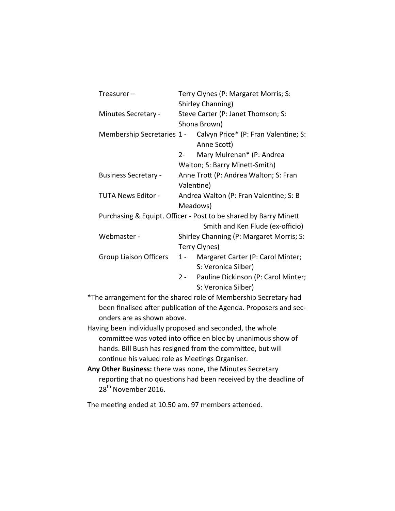| Treasurer –                                                      | Terry Clynes (P: Margaret Morris; S:                      |                                                                 |  |
|------------------------------------------------------------------|-----------------------------------------------------------|-----------------------------------------------------------------|--|
|                                                                  | Shirley Channing)                                         |                                                                 |  |
| Minutes Secretary -                                              | Steve Carter (P: Janet Thomson; S:<br>Shona Brown)        |                                                                 |  |
|                                                                  |                                                           |                                                                 |  |
|                                                                  |                                                           | Membership Secretaries 1 - Calvyn Price* (P: Fran Valentine; S: |  |
|                                                                  |                                                           | Anne Scott)                                                     |  |
|                                                                  | $2 -$                                                     | Mary Mulrenan* (P: Andrea                                       |  |
|                                                                  | Walton; S: Barry Minett-Smith)                            |                                                                 |  |
| <b>Business Secretary -</b>                                      | Anne Trott (P: Andrea Walton; S: Fran<br>Valentine)       |                                                                 |  |
|                                                                  |                                                           |                                                                 |  |
| TUTA News Editor -                                               | Andrea Walton (P: Fran Valentine; S: B<br>Meadows)        |                                                                 |  |
|                                                                  |                                                           |                                                                 |  |
| Purchasing & Equipt. Officer - Post to be shared by Barry Minett |                                                           |                                                                 |  |
|                                                                  |                                                           | Smith and Ken Flude (ex-officio)                                |  |
| Webmaster -                                                      | Shirley Channing (P: Margaret Morris; S:<br>Terry Clynes) |                                                                 |  |
|                                                                  |                                                           |                                                                 |  |
| Group Liaison Officers                                           |                                                           | 1 - Margaret Carter (P: Carol Minter;                           |  |
|                                                                  |                                                           | S: Veronica Silber)                                             |  |
|                                                                  |                                                           | 2 - Pauline Dickinson (P: Carol Minter;                         |  |
|                                                                  |                                                           | S: Veronica Silber)                                             |  |

\*The arrangement for the shared role of Membership Secretary had been finalised after publication of the Agenda. Proposers and seconders are as shown above.

Having been individually proposed and seconded, the whole committee was voted into office en bloc by unanimous show of hands. Bill Bush has resigned from the committee, but will continue his valued role as Meetings Organiser.

**Any Other Business:** there was none, the Minutes Secretary reporting that no questions had been received by the deadline of 28<sup>th</sup> November 2016.

The meeting ended at 10.50 am. 97 members attended.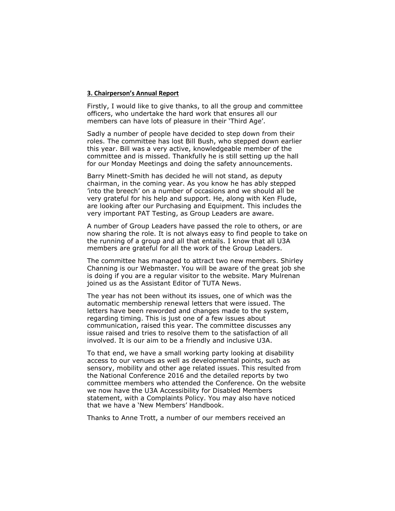#### **3. Chairperson's Annual Report**

Firstly, I would like to give thanks, to all the group and committee officers, who undertake the hard work that ensures all our members can have lots of pleasure in their 'Third Age'.

Sadly a number of people have decided to step down from their roles. The committee has lost Bill Bush, who stepped down earlier this year. Bill was a very active, knowledgeable member of the committee and is missed. Thankfully he is still setting up the hall for our Monday Meetings and doing the safety announcements.

Barry Minett-Smith has decided he will not stand, as deputy chairman, in the coming year. As you know he has ably stepped 'into the breech' on a number of occasions and we should all be very grateful for his help and support. He, along with Ken Flude, are looking after our Purchasing and Equipment. This includes the very important PAT Testing, as Group Leaders are aware.

A number of Group Leaders have passed the role to others, or are now sharing the role. It is not always easy to find people to take on the running of a group and all that entails. I know that all U3A members are grateful for all the work of the Group Leaders.

The committee has managed to attract two new members. Shirley Channing is our Webmaster. You will be aware of the great job she is doing if you are a regular visitor to the website. Mary Mulrenan joined us as the Assistant Editor of TUTA News.

The year has not been without its issues, one of which was the automatic membership renewal letters that were issued. The letters have been reworded and changes made to the system, regarding timing. This is just one of a few issues about communication, raised this year. The committee discusses any issue raised and tries to resolve them to the satisfaction of all involved. It is our aim to be a friendly and inclusive U3A.

To that end, we have a small working party looking at disability access to our venues as well as developmental points, such as sensory, mobility and other age related issues. This resulted from the National Conference 2016 and the detailed reports by two committee members who attended the Conference. On the website we now have the U3A Accessibility for Disabled Members statement, with a Complaints Policy. You may also have noticed that we have a 'New Members' Handbook.

Thanks to Anne Trott, a number of our members received an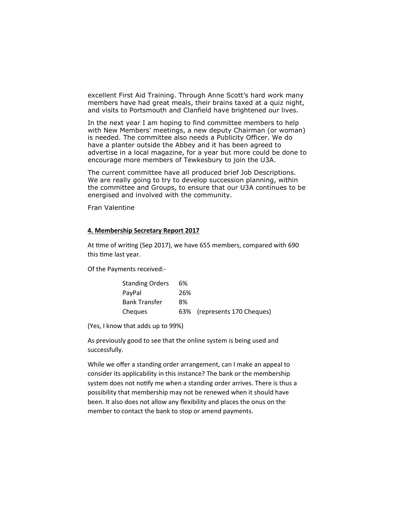excellent First Aid Training. Through Anne Scott's hard work many members have had great meals, their brains taxed at a quiz night, and visits to Portsmouth and Clanfield have brightened our lives.

In the next year I am hoping to find committee members to help with New Members' meetings, a new deputy Chairman (or woman) is needed. The committee also needs a Publicity Officer. We do have a planter outside the Abbey and it has been agreed to advertise in a local magazine, for a year but more could be done to encourage more members of Tewkesbury to join the U3A.

The current committee have all produced brief Job Descriptions. We are really going to try to develop succession planning, within the committee and Groups, to ensure that our U3A continues to be energised and involved with the community.

Fran Valentine

#### **4. Membership Secretary Report 2017**

At time of writing (Sep 2017), we have 655 members, compared with 690 this time last year.

Of the Payments received:-

| <b>Standing Orders</b> | 6%  |                              |
|------------------------|-----|------------------------------|
| PayPal                 | 26% |                              |
| Bank Transfer          | 8%  |                              |
| Cheques                |     | 63% (represents 170 Cheques) |

(Yes, I know that adds up to 99%)

As previously good to see that the online system is being used and successfully.

While we offer a standing order arrangement, can I make an appeal to consider its applicability in this instance? The bank or the membership system does not notify me when a standing order arrives. There is thus a possibility that membership may not be renewed when it should have been. It also does not allow any flexibility and places the onus on the member to contact the bank to stop or amend payments.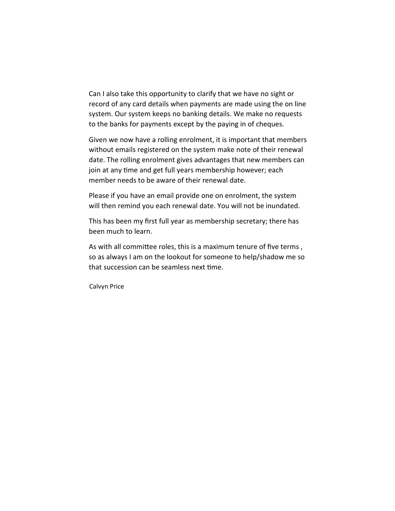Can I also take this opportunity to clarify that we have no sight or record of any card details when payments are made using the on line system. Our system keeps no banking details. We make no requests to the banks for payments except by the paying in of cheques.

Given we now have a rolling enrolment, it is important that members without emails registered on the system make note of their renewal date. The rolling enrolment gives advantages that new members can join at any time and get full years membership however; each member needs to be aware of their renewal date.

Please if you have an email provide one on enrolment, the system will then remind you each renewal date. You will not be inundated.

This has been my first full year as membership secretary; there has been much to learn.

As with all committee roles, this is a maximum tenure of five terms, so as always I am on the lookout for someone to help/shadow me so that succession can be seamless next time.

Calvyn Price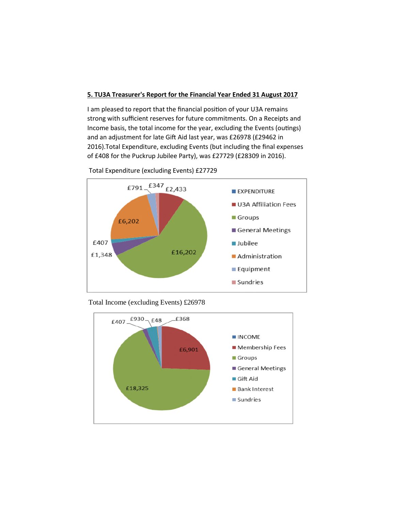#### **5. TU3A Treasurer's Report for the Financial Year Ended 31 August 2017**

I am pleased to report that the financial position of your U3A remains strong with sufficient reserves for future commitments. On a Receipts and Income basis, the total income for the year, excluding the Events (outings) and an adjustment for late Gift Aid last year, was £26978 (£29462 in 2016).Total Expenditure, excluding Events (but including the final expenses of £408 for the Puckrup Jubilee Party), was £27729 (£28309 in 2016).

Total Expenditure (excluding Events) £27729





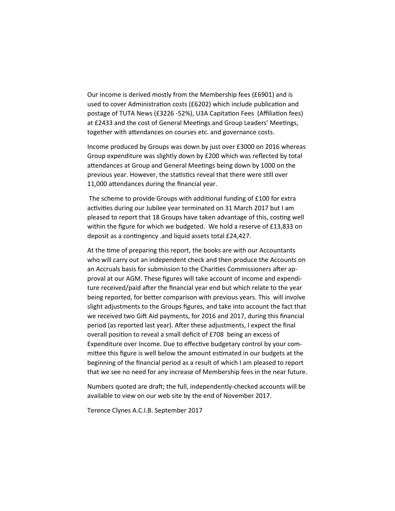Our income is derived mostly from the Membership fees (£6901) and is used to cover Administration costs (£6202) which include publication and postage of TUTA News (£3226 -52%), U3A Capitation Fees (Affiliation fees) at £2433 and the cost of General Meetings and Group Leaders' Meetings, together with attendances on courses etc. and governance costs.

Income produced by Groups was down by just over £3000 on 2016 whereas Group expenditure was slightly down by £200 which was reflected by total attendances at Group and General Meetings being down by 1000 on the previous year. However, the statistics reveal that there were still over 11,000 attendances during the financial year.

The scheme to provide Groups with additional funding of £100 for extra activities during our Jubilee year terminated on 31 March 2017 but I am pleased to report that 18 Groups have taken advantage of this, costing well within the figure for which we budgeted. We hold a reserve of £13,833 on deposit as a contingency .and liquid assets total £24,427.

At the time of preparing this report, the books are with our Accountants who will carry out an independent check and then produce the Accounts on an Accruals basis for submission to the Charities Commissioners after approval at our AGM. These figures will take account of income and expenditure received/paid after the financial year end but which relate to the year being reported, for better comparison with previous years. This will involve slight adjustments to the Groups figures, and take into account the fact that we received two Gift Aid payments, for 2016 and 2017, during this financial period (as reported last year). After these adjustments, I expect the final overall position to reveal a small deficit of £708 being an excess of Expenditure over Income. Due to effective budgetary control by your committee this figure is well below the amount estimated in our budgets at the beginning of the financial period as a result of which I am pleased to report that we see no need for any increase of Membership fees in the near future.

Numbers quoted are draft; the full, independently-checked accounts will be available to view on our web site by the end of November 2017.

Terence Clynes A.C.I.B. September 2017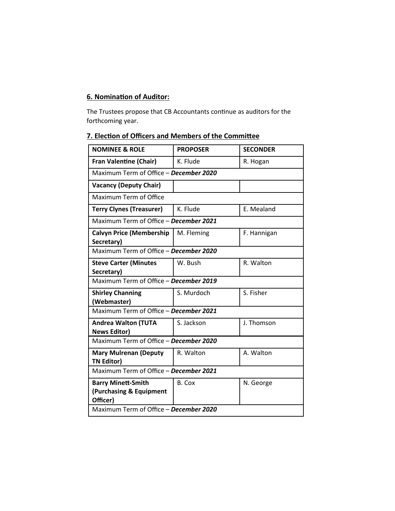### **6. Nomination of Auditor:**

The Trustees propose that CB Accountants continue as auditors for the forthcoming year.

### **7. Election of Officers and Members of the Committee**

| <b>NOMINEE &amp; ROLE</b>                                        | <b>PROPOSER</b> | <b>SECONDER</b> |  |  |
|------------------------------------------------------------------|-----------------|-----------------|--|--|
| <b>Fran Valentine (Chair)</b>                                    | K. Flude        | R. Hogan        |  |  |
| Maximum Term of Office - December 2020                           |                 |                 |  |  |
| <b>Vacancy (Deputy Chair)</b>                                    |                 |                 |  |  |
| Maximum Term of Office                                           |                 |                 |  |  |
| <b>Terry Clynes (Treasurer)</b>                                  | K. Flude        | E. Mealand      |  |  |
| Maximum Term of Office - December 2021                           |                 |                 |  |  |
| <b>Calvyn Price (Membership</b><br>Secretary)                    | M. Fleming      | F. Hannigan     |  |  |
| Maximum Term of Office - December 2020                           |                 |                 |  |  |
| <b>Steve Carter (Minutes</b><br>Secretary)                       | W. Bush         | R. Walton       |  |  |
| Maximum Term of Office - December 2019                           |                 |                 |  |  |
| <b>Shirley Channing</b><br>(Webmaster)                           | S. Murdoch      | S. Fisher       |  |  |
| Maximum Term of Office - December 2021                           |                 |                 |  |  |
| <b>Andrea Walton (TUTA</b><br><b>News Editor)</b>                | S. Jackson      | J. Thomson      |  |  |
| Maximum Term of Office - December 2020                           |                 |                 |  |  |
| <b>Mary Mulrenan (Deputy</b><br><b>TN Editor)</b>                | R. Walton       | A. Walton       |  |  |
| Maximum Term of Office - December 2021                           |                 |                 |  |  |
| <b>Barry Minett-Smith</b><br>(Purchasing & Equipment<br>Officer) | B. Cox          | N. George       |  |  |
| Maximum Term of Office - December 2020                           |                 |                 |  |  |